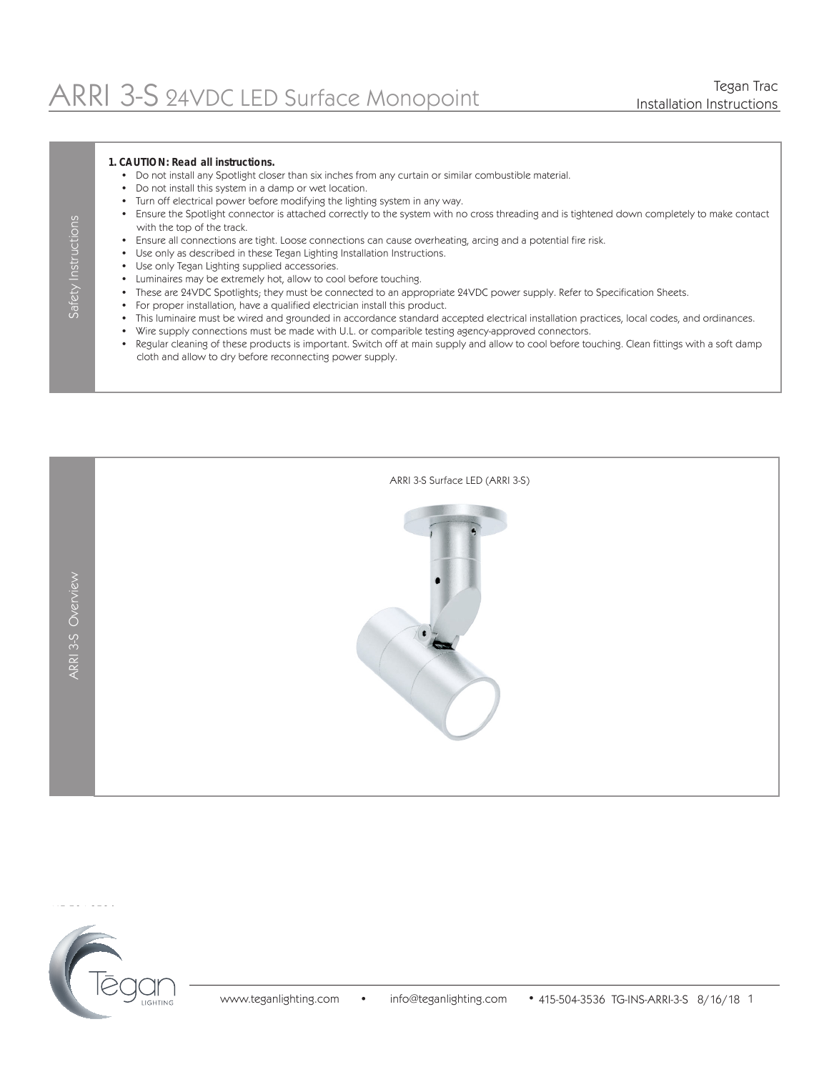#### **1. CAUTION: Read all instructions.**

- Do not install any Spotlight closer than six inches from any curtain or similar combustible material.
- Do not install this system in a damp or wet location.
- Turn off electrical power before modifying the lighting system in any way.
- Ensure the Spotlight connector is attached correctly to the system with no cross threading and is tightened down completely to make contact with the top of the track.
- Ensure all connections are tight. Loose connections can cause overheating, arcing and a potential fire risk.
- Use only as described in these Tegan Lighting Installation Instructions.
- Use only Tegan Lighting supplied accessories.
- Luminaires may be extremely hot, allow to cool before touching.
- These are 24VDC Spotlights; they must be connected to an appropriate 24VDC power supply. Refer to Specification Sheets.
- For proper installation, have a qualified electrician install this product.
- This luminaire must be wired and grounded in accordance standard accepted electrical installation practices, local codes, and ordinances.
- Wire supply connections must be made with U.L. or comparible testing agency-approved connectors.
- Regular cleaning of these products is important. Switch off at main supply and allow to cool before touching. Clean fittings with a soft damp cloth and allow to dry before reconnecting power supply.





Safety Instructions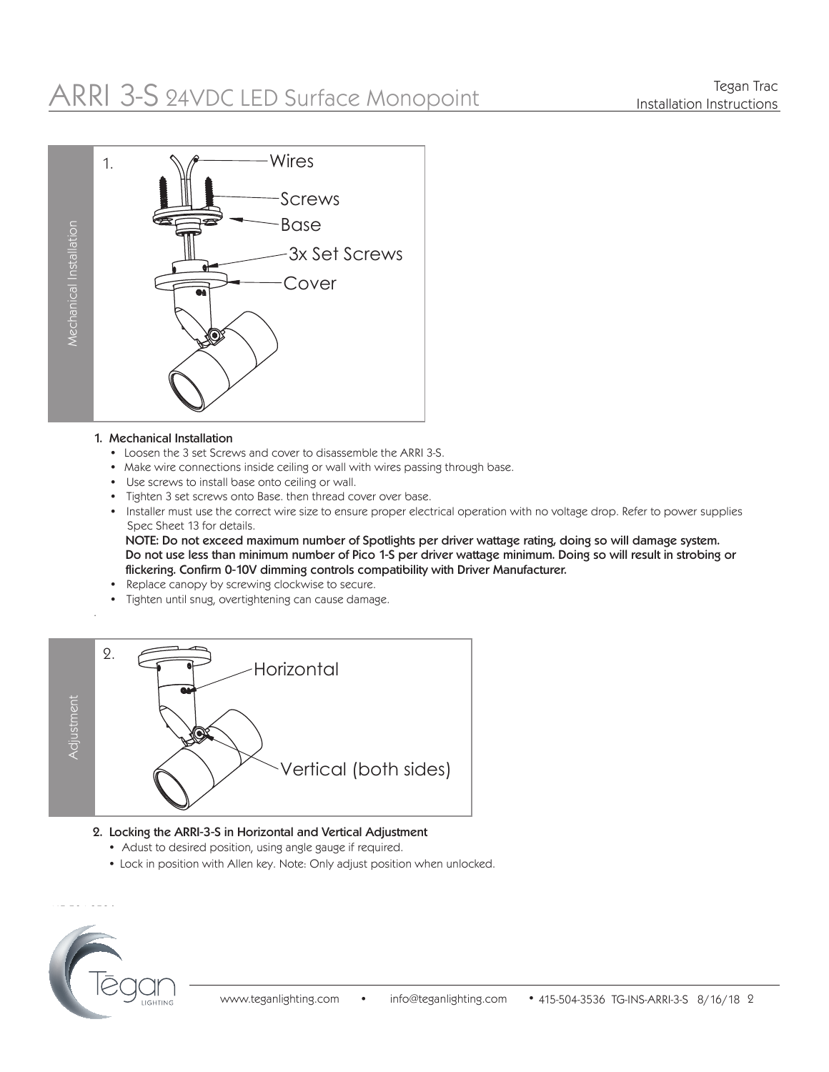# ARRI 3-S 24VDC LED Surface Monopoint



#### 1. Mechanical Installation

- Loosen the 3 set Screws and cover to disassemble the ARRI 3-S.
- Make wire connections inside ceiling or wall with wires passing through base.
- Use screws to install base onto ceiling or wall.
- Tighten 3 set screws onto Base. then thread cover over base.
- Installer must use the correct wire size to ensure proper electrical operation with no voltage drop. Refer to power supplies Spec Sheet 13 for details.

 NOTE: Do not exceed maximum number of Spotlights per driver wattage rating, doing so will damage system. Do not use less than minimum number of Pico 1-S per driver wattage minimum. Doing so will result in strobing or flickering. Confirm 0-10V dimming controls compatibility with Driver Manufacturer.

- Replace canopy by screwing clockwise to secure.
- Tighten until snug, overtightening can cause damage.



### 2. Locking the ARRI-3-S in Horizontal and Vertical Adjustment

- Adust to desired position, using angle gauge if required.
- Lock in position with Allen key. Note: Only adjust position when unlocked.



.